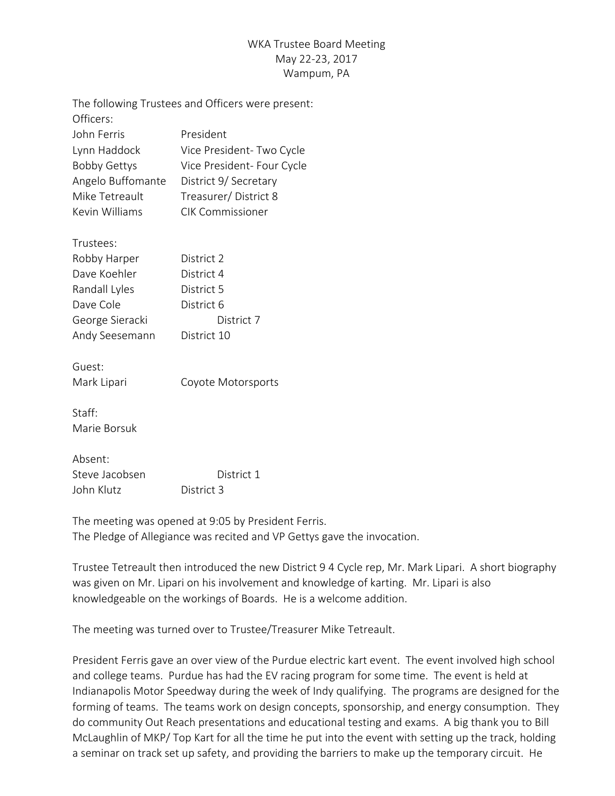## WKA Trustee Board Meeting May 22-23, 2017 Wampum, PA

|                     | The following Trustees and Officers were present: |
|---------------------|---------------------------------------------------|
| Officers:           |                                                   |
| John Ferris         | President                                         |
| Lynn Haddock        | Vice President- Two Cycle                         |
| <b>Bobby Gettys</b> | Vice President- Four Cycle                        |
| Angelo Buffomante   | District 9/ Secretary                             |
| Mike Tetreault      | Treasurer/District 8                              |
| Kevin Williams      | <b>CIK Commissioner</b>                           |
| Trustees:           |                                                   |
| Robby Harper        | District 2                                        |
| Dave Koehler        | District 4                                        |
| Randall Lyles       | District 5                                        |
| Dave Cole           | District 6                                        |
| George Sieracki     | District 7                                        |
| Andy Seesemann      | District 10                                       |
| Guest:              |                                                   |
| Mark Lipari         | Coyote Motorsports                                |
| Staff:              |                                                   |
| Marie Borsuk        |                                                   |
| Absent:             |                                                   |
| Steve Jacobsen      | District 1                                        |
| John Klutz          | District 3                                        |

The meeting was opened at 9:05 by President Ferris. The Pledge of Allegiance was recited and VP Gettys gave the invocation.

Trustee Tetreault then introduced the new District 9 4 Cycle rep, Mr. Mark Lipari. A short biography was given on Mr. Lipari on his involvement and knowledge of karting. Mr. Lipari is also knowledgeable on the workings of Boards. He is a welcome addition.

The meeting was turned over to Trustee/Treasurer Mike Tetreault.

President Ferris gave an over view of the Purdue electric kart event. The event involved high school and college teams. Purdue has had the EV racing program for some time. The event is held at Indianapolis Motor Speedway during the week of Indy qualifying. The programs are designed for the forming of teams. The teams work on design concepts, sponsorship, and energy consumption. They do community Out Reach presentations and educational testing and exams. A big thank you to Bill McLaughlin of MKP/ Top Kart for all the time he put into the event with setting up the track, holding a seminar on track set up safety, and providing the barriers to make up the temporary circuit. He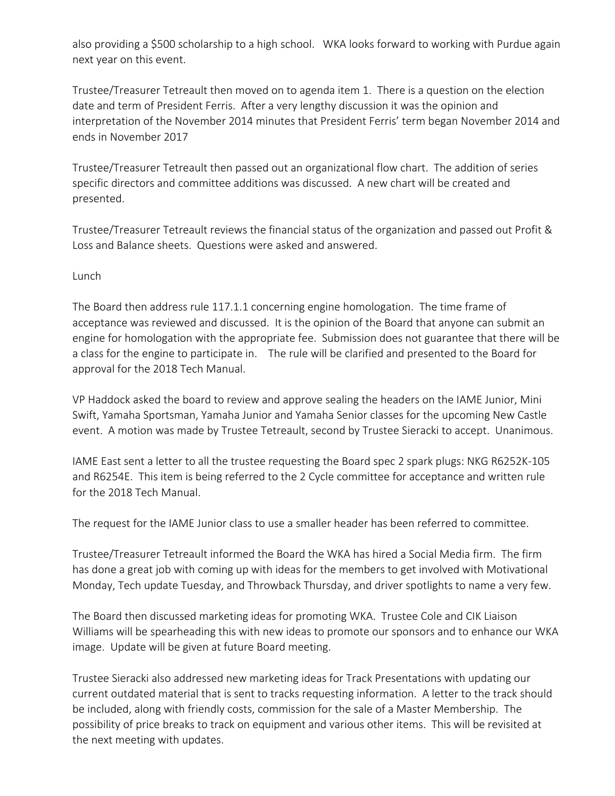also providing a \$500 scholarship to a high school. WKA looks forward to working with Purdue again next year on this event.

Trustee/Treasurer Tetreault then moved on to agenda item 1. There is a question on the election date and term of President Ferris. After a very lengthy discussion it was the opinion and interpretation of the November 2014 minutes that President Ferris' term began November 2014 and ends in November 2017

Trustee/Treasurer Tetreault then passed out an organizational flow chart. The addition of series specific directors and committee additions was discussed. A new chart will be created and presented.

Trustee/Treasurer Tetreault reviews the financial status of the organization and passed out Profit & Loss and Balance sheets. Questions were asked and answered.

Lunch

The Board then address rule 117.1.1 concerning engine homologation. The time frame of acceptance was reviewed and discussed. It is the opinion of the Board that anyone can submit an engine for homologation with the appropriate fee. Submission does not guarantee that there will be a class for the engine to participate in. The rule will be clarified and presented to the Board for approval for the 2018 Tech Manual.

VP Haddock asked the board to review and approve sealing the headers on the IAME Junior, Mini Swift, Yamaha Sportsman, Yamaha Junior and Yamaha Senior classes for the upcoming New Castle event. A motion was made by Trustee Tetreault, second by Trustee Sieracki to accept. Unanimous.

IAME East sent a letter to all the trustee requesting the Board spec 2 spark plugs: NKG R6252K-105 and R6254E. This item is being referred to the 2 Cycle committee for acceptance and written rule for the 2018 Tech Manual.

The request for the IAME Junior class to use a smaller header has been referred to committee.

Trustee/Treasurer Tetreault informed the Board the WKA has hired a Social Media firm. The firm has done a great job with coming up with ideas for the members to get involved with Motivational Monday, Tech update Tuesday, and Throwback Thursday, and driver spotlights to name a very few.

The Board then discussed marketing ideas for promoting WKA. Trustee Cole and CIK Liaison Williams will be spearheading this with new ideas to promote our sponsors and to enhance our WKA image. Update will be given at future Board meeting.

Trustee Sieracki also addressed new marketing ideas for Track Presentations with updating our current outdated material that is sent to tracks requesting information. A letter to the track should be included, along with friendly costs, commission for the sale of a Master Membership. The possibility of price breaks to track on equipment and various other items. This will be revisited at the next meeting with updates.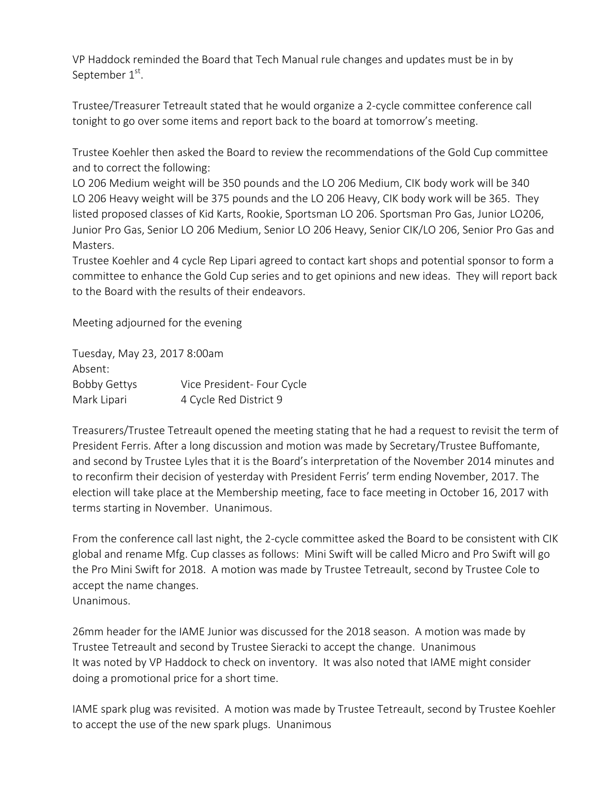VP Haddock reminded the Board that Tech Manual rule changes and updates must be in by September  $1<sup>st</sup>$ .

Trustee/Treasurer Tetreault stated that he would organize a 2-cycle committee conference call tonight to go over some items and report back to the board at tomorrow's meeting.

Trustee Koehler then asked the Board to review the recommendations of the Gold Cup committee and to correct the following:

LO 206 Medium weight will be 350 pounds and the LO 206 Medium, CIK body work will be 340 LO 206 Heavy weight will be 375 pounds and the LO 206 Heavy, CIK body work will be 365. They listed proposed classes of Kid Karts, Rookie, Sportsman LO 206. Sportsman Pro Gas, Junior LO206, Junior Pro Gas, Senior LO 206 Medium, Senior LO 206 Heavy, Senior CIK/LO 206, Senior Pro Gas and **Masters** 

Trustee Koehler and 4 cycle Rep Lipari agreed to contact kart shops and potential sponsor to form a committee to enhance the Gold Cup series and to get opinions and new ideas. They will report back to the Board with the results of their endeavors.

Meeting adjourned for the evening

Tuesday, May 23, 2017 8:00am Absent: Bobby Gettys Vice President- Four Cycle Mark Lipari 4 Cycle Red District 9

Treasurers/Trustee Tetreault opened the meeting stating that he had a request to revisit the term of President Ferris. After a long discussion and motion was made by Secretary/Trustee Buffomante, and second by Trustee Lyles that it is the Board's interpretation of the November 2014 minutes and to reconfirm their decision of yesterday with President Ferris' term ending November, 2017. The election will take place at the Membership meeting, face to face meeting in October 16, 2017 with terms starting in November. Unanimous.

From the conference call last night, the 2-cycle committee asked the Board to be consistent with CIK global and rename Mfg. Cup classes as follows: Mini Swift will be called Micro and Pro Swift will go the Pro Mini Swift for 2018. A motion was made by Trustee Tetreault, second by Trustee Cole to accept the name changes. Unanimous.

26mm header for the IAME Junior was discussed for the 2018 season. A motion was made by Trustee Tetreault and second by Trustee Sieracki to accept the change. Unanimous It was noted by VP Haddock to check on inventory. It was also noted that IAME might consider doing a promotional price for a short time.

IAME spark plug was revisited. A motion was made by Trustee Tetreault, second by Trustee Koehler to accept the use of the new spark plugs. Unanimous